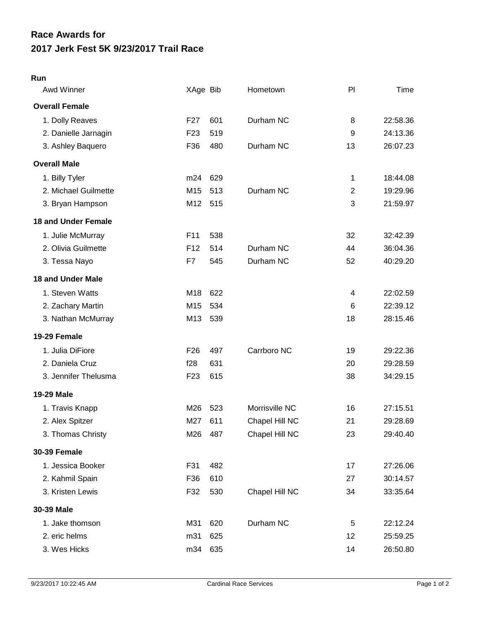## **Run**

| Awd Winner                 | XAge Bib        |     | Hometown       | P              | Time     |
|----------------------------|-----------------|-----|----------------|----------------|----------|
| <b>Overall Female</b>      |                 |     |                |                |          |
| 1. Dolly Reaves            | F <sub>27</sub> | 601 | Durham NC      | 8              | 22:58.36 |
| 2. Danielle Jarnagin       | F <sub>23</sub> | 519 |                | 9              | 24:13.36 |
| 3. Ashley Baquero          | F36             | 480 | Durham NC      | 13             | 26:07.23 |
| <b>Overall Male</b>        |                 |     |                |                |          |
| 1. Billy Tyler             | m24             | 629 |                | 1              | 18:44.08 |
| 2. Michael Guilmette       | M15             | 513 | Durham NC      | $\overline{2}$ | 19:29.96 |
| 3. Bryan Hampson           | M12             | 515 |                | 3              | 21:59.97 |
| <b>18 and Under Female</b> |                 |     |                |                |          |
| 1. Julie McMurray          | F11             | 538 |                | 32             | 32:42.39 |
| 2. Olivia Guilmette        | F <sub>12</sub> | 514 | Durham NC      | 44             | 36:04.36 |
| 3. Tessa Nayo              | F7              | 545 | Durham NC      | 52             | 40:29.20 |
| <b>18 and Under Male</b>   |                 |     |                |                |          |
| 1. Steven Watts            | M18             | 622 |                | 4              | 22:02.59 |
| 2. Zachary Martin          | M15             | 534 |                | 6              | 22:39.12 |
| 3. Nathan McMurray         | M13             | 539 |                | 18             | 28:15.46 |
| 19-29 Female               |                 |     |                |                |          |
| 1. Julia DiFiore           | F <sub>26</sub> | 497 | Carrboro NC    | 19             | 29:22.36 |
| 2. Daniela Cruz            | f28             | 631 |                | 20             | 29:28.59 |
| 3. Jennifer Thelusma       | F <sub>23</sub> | 615 |                | 38             | 34:29.15 |
| 19-29 Male                 |                 |     |                |                |          |
| 1. Travis Knapp            | M26             | 523 | Morrisville NC | 16             | 27:15.51 |
| 2. Alex Spitzer            | M27             | 611 | Chapel Hill NC | 21             | 29:28.69 |
| 3. Thomas Christy          | M26             | 487 | Chapel Hill NC | 23             | 29:40.40 |
| <b>30-39 Female</b>        |                 |     |                |                |          |
| 1. Jessica Booker          | F31             | 482 |                | 17             | 27:26.06 |
| 2. Kahmil Spain            | F36             | 610 |                | 27             | 30:14.57 |
| 3. Kristen Lewis           | F32             | 530 | Chapel Hill NC | 34             | 33:35.64 |
| 30-39 Male                 |                 |     |                |                |          |
| 1. Jake thomson            | M31             | 620 | Durham NC      | 5              | 22:12.24 |
| 2. eric helms              | m31             | 625 |                | 12             | 25:59.25 |
| 3. Wes Hicks               | m34             | 635 |                | 14             | 26:50.80 |